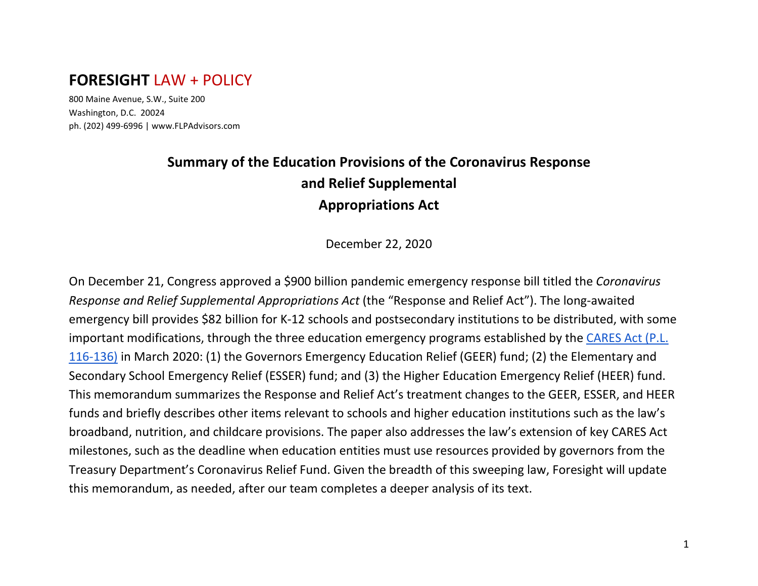# **FORESIGHT** LAW + POLICY

800 Maine Avenue, S.W., Suite 200 Washington, D.C. 20024 ph. (202) 499-6996 | www.FLPAdvisors.com

# **Summary of the Education Provisions of the Coronavirus Response and Relief Supplemental Appropriations Act**

December 22, 2020

On December 21, Congress approved a \$900 billion pandemic emergency response bill titled the *Coronavirus Response and Relief Supplemental Appropriations Act* (the "Response and Relief Act"). The long-awaited emergency bill provides \$82 billion for K-12 schools and postsecondary institutions to be distributed, with some important modifications, through the three education emergency programs established by the [CARES Act \(P.L.](https://www.congress.gov/bill/116th-congress/house-bill/748?q=%7B%22search%22%3A%5B%22Public+Law+116-136%22%5D%7D&s=2&r=1)  [116-136\)](https://www.congress.gov/bill/116th-congress/house-bill/748?q=%7B%22search%22%3A%5B%22Public+Law+116-136%22%5D%7D&s=2&r=1) in March 2020: (1) the Governors Emergency Education Relief (GEER) fund; (2) the Elementary and Secondary School Emergency Relief (ESSER) fund; and (3) the Higher Education Emergency Relief (HEER) fund. This memorandum summarizes the Response and Relief Act's treatment changes to the GEER, ESSER, and HEER funds and briefly describes other items relevant to schools and higher education institutions such as the law's broadband, nutrition, and childcare provisions. The paper also addresses the law's extension of key CARES Act milestones, such as the deadline when education entities must use resources provided by governors from the Treasury Department's Coronavirus Relief Fund. Given the breadth of this sweeping law, Foresight will update this memorandum, as needed, after our team completes a deeper analysis of its text.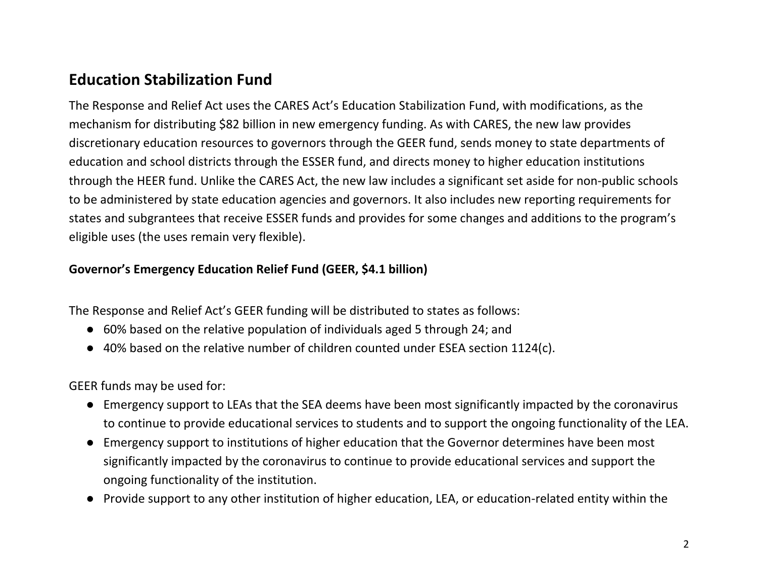# **Education Stabilization Fund**

The Response and Relief Act uses the CARES Act's Education Stabilization Fund, with modifications, as the mechanism for distributing \$82 billion in new emergency funding. As with CARES, the new law provides discretionary education resources to governors through the GEER fund, sends money to state departments of education and school districts through the ESSER fund, and directs money to higher education institutions through the HEER fund. Unlike the CARES Act, the new law includes a significant set aside for non-public schools to be administered by state education agencies and governors. It also includes new reporting requirements for states and subgrantees that receive ESSER funds and provides for some changes and additions to the program's eligible uses (the uses remain very flexible).

### **Governor's Emergency Education Relief Fund (GEER, \$4.1 billion)**

The Response and Relief Act's GEER funding will be distributed to states as follows:

- 60% based on the relative population of individuals aged 5 through 24; and
- 40% based on the relative number of children counted under ESEA section 1124(c).

GEER funds may be used for:

- Emergency support to LEAs that the SEA deems have been most significantly impacted by the coronavirus to continue to provide educational services to students and to support the ongoing functionality of the LEA.
- Emergency support to institutions of higher education that the Governor determines have been most significantly impacted by the coronavirus to continue to provide educational services and support the ongoing functionality of the institution.
- Provide support to any other institution of higher education, LEA, or education-related entity within the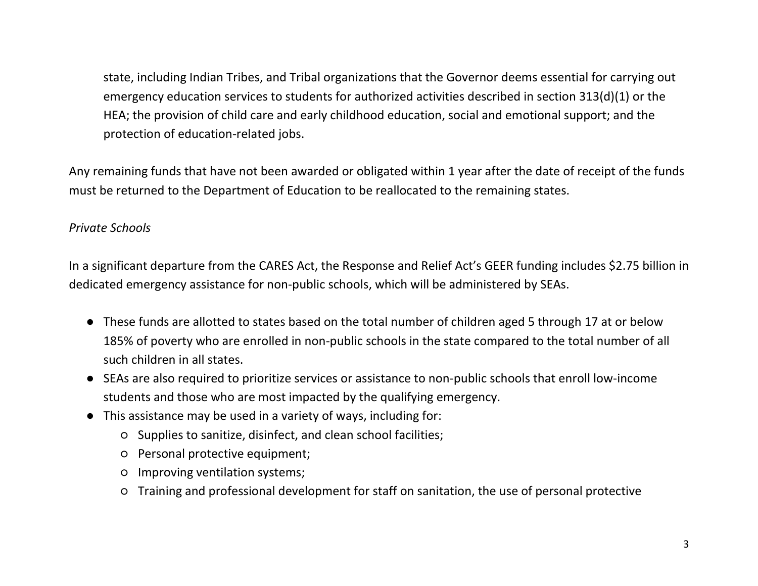state, including Indian Tribes, and Tribal organizations that the Governor deems essential for carrying out emergency education services to students for authorized activities described in section 313(d)(1) or the HEA; the provision of child care and early childhood education, social and emotional support; and the protection of education-related jobs.

Any remaining funds that have not been awarded or obligated within 1 year after the date of receipt of the funds must be returned to the Department of Education to be reallocated to the remaining states.

#### *Private Schools*

In a significant departure from the CARES Act, the Response and Relief Act's GEER funding includes \$2.75 billion in dedicated emergency assistance for non-public schools, which will be administered by SEAs.

- These funds are allotted to states based on the total number of children aged 5 through 17 at or below 185% of poverty who are enrolled in non-public schools in the state compared to the total number of all such children in all states.
- SEAs are also required to prioritize services or assistance to non-public schools that enroll low-income students and those who are most impacted by the qualifying emergency.
- This assistance may be used in a variety of ways, including for:
	- Supplies to sanitize, disinfect, and clean school facilities;
	- Personal protective equipment;
	- Improving ventilation systems;
	- Training and professional development for staff on sanitation, the use of personal protective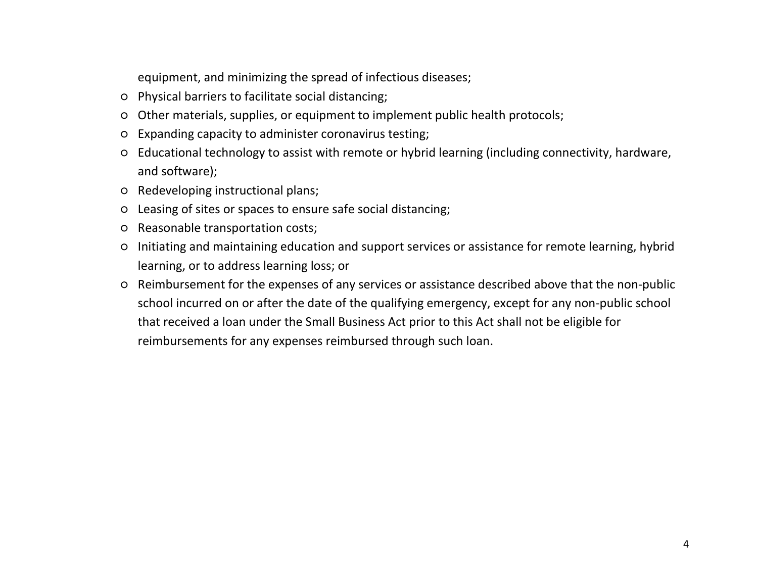equipment, and minimizing the spread of infectious diseases;

- Physical barriers to facilitate social distancing;
- Other materials, supplies, or equipment to implement public health protocols;
- Expanding capacity to administer coronavirus testing;
- Educational technology to assist with remote or hybrid learning (including connectivity, hardware, and software);
- Redeveloping instructional plans;
- Leasing of sites or spaces to ensure safe social distancing;
- Reasonable transportation costs;
- Initiating and maintaining education and support services or assistance for remote learning, hybrid learning, or to address learning loss; or
- Reimbursement for the expenses of any services or assistance described above that the non-public school incurred on or after the date of the qualifying emergency, except for any non-public school that received a loan under the Small Business Act prior to this Act shall not be eligible for reimbursements for any expenses reimbursed through such loan.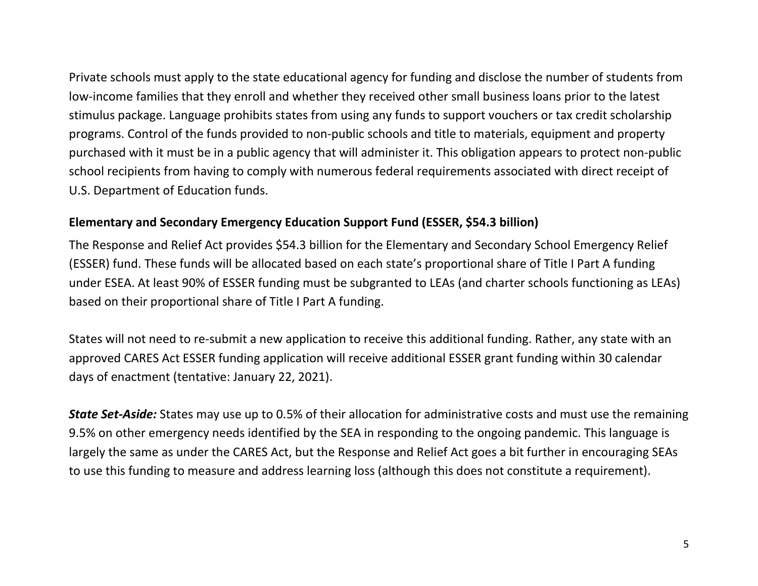Private schools must apply to the state educational agency for funding and disclose the number of students from low-income families that they enroll and whether they received other small business loans prior to the latest stimulus package. Language prohibits states from using any funds to support vouchers or tax credit scholarship programs. Control of the funds provided to non-public schools and title to materials, equipment and property purchased with it must be in a public agency that will administer it. This obligation appears to protect non-public school recipients from having to comply with numerous federal requirements associated with direct receipt of U.S. Department of Education funds.

#### **Elementary and Secondary Emergency Education Support Fund (ESSER, \$54.3 billion)**

The Response and Relief Act provides \$54.3 billion for the Elementary and Secondary School Emergency Relief (ESSER) fund. These funds will be allocated based on each state's proportional share of Title I Part A funding under ESEA. At least 90% of ESSER funding must be subgranted to LEAs (and charter schools functioning as LEAs) based on their proportional share of Title I Part A funding.

States will not need to re-submit a new application to receive this additional funding. Rather, any state with an approved CARES Act ESSER funding application will receive additional ESSER grant funding within 30 calendar days of enactment (tentative: January 22, 2021).

*State Set-Aside:* States may use up to 0.5% of their allocation for administrative costs and must use the remaining 9.5% on other emergency needs identified by the SEA in responding to the ongoing pandemic. This language is largely the same as under the CARES Act, but the Response and Relief Act goes a bit further in encouraging SEAs to use this funding to measure and address learning loss (although this does not constitute a requirement).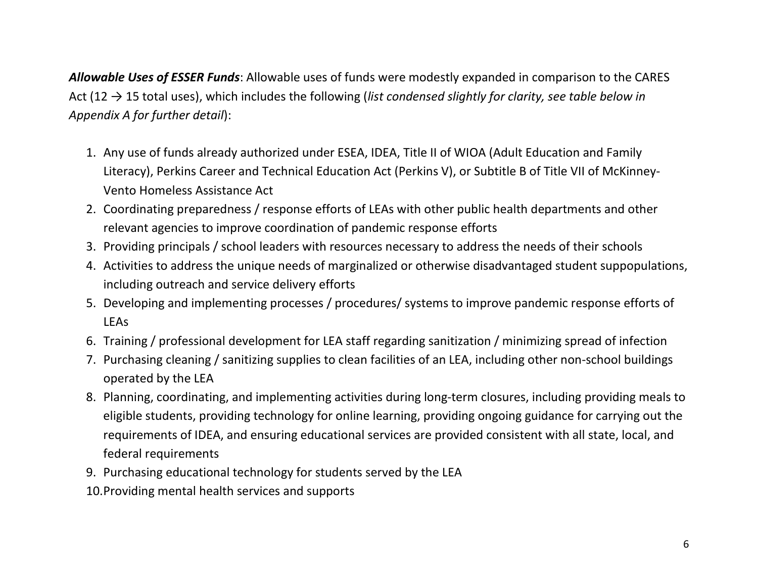*Allowable Uses of ESSER Funds*: Allowable uses of funds were modestly expanded in comparison to the CARES Act (12 → 15 total uses), which includes the following (*list condensed slightly for clarity, see table below in Appendix A for further detail*):

- 1. Any use of funds already authorized under ESEA, IDEA, Title II of WIOA (Adult Education and Family Literacy), Perkins Career and Technical Education Act (Perkins V), or Subtitle B of Title VII of McKinney-Vento Homeless Assistance Act
- 2. Coordinating preparedness / response efforts of LEAs with other public health departments and other relevant agencies to improve coordination of pandemic response efforts
- 3. Providing principals / school leaders with resources necessary to address the needs of their schools
- 4. Activities to address the unique needs of marginalized or otherwise disadvantaged student suppopulations, including outreach and service delivery efforts
- 5. Developing and implementing processes / procedures/ systems to improve pandemic response efforts of LEAs
- 6. Training / professional development for LEA staff regarding sanitization / minimizing spread of infection
- 7. Purchasing cleaning / sanitizing supplies to clean facilities of an LEA, including other non-school buildings operated by the LEA
- 8. Planning, coordinating, and implementing activities during long-term closures, including providing meals to eligible students, providing technology for online learning, providing ongoing guidance for carrying out the requirements of IDEA, and ensuring educational services are provided consistent with all state, local, and federal requirements
- 9. Purchasing educational technology for students served by the LEA
- 10.Providing mental health services and supports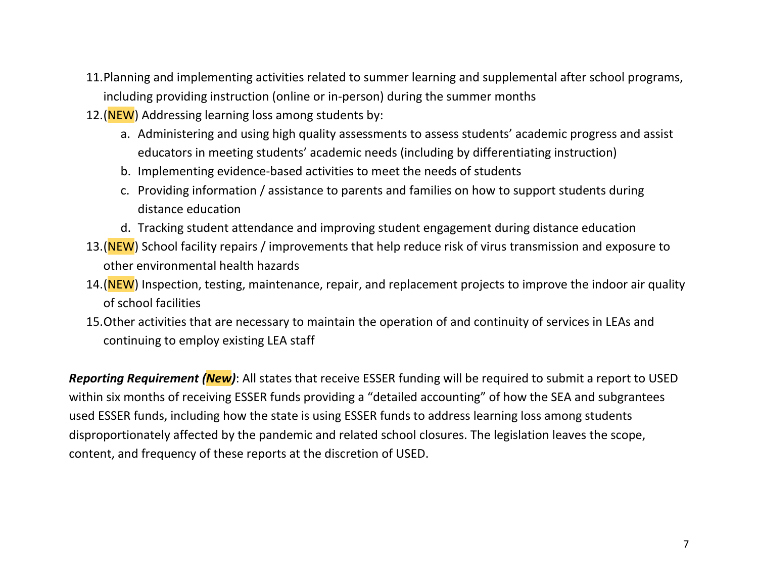- 11.Planning and implementing activities related to summer learning and supplemental after school programs, including providing instruction (online or in-person) during the summer months
- 12.(NEW) Addressing learning loss among students by:
	- a. Administering and using high quality assessments to assess students' academic progress and assist educators in meeting students' academic needs (including by differentiating instruction)
	- b. Implementing evidence-based activities to meet the needs of students
	- c. Providing information / assistance to parents and families on how to support students during distance education
	- d. Tracking student attendance and improving student engagement during distance education
- 13.(NEW) School facility repairs / improvements that help reduce risk of virus transmission and exposure to other environmental health hazards
- 14.(NEW) Inspection, testing, maintenance, repair, and replacement projects to improve the indoor air quality of school facilities
- 15.Other activities that are necessary to maintain the operation of and continuity of services in LEAs and continuing to employ existing LEA staff

*Reporting Requirement (New)*: All states that receive ESSER funding will be required to submit a report to USED within six months of receiving ESSER funds providing a "detailed accounting" of how the SEA and subgrantees used ESSER funds, including how the state is using ESSER funds to address learning loss among students disproportionately affected by the pandemic and related school closures. The legislation leaves the scope, content, and frequency of these reports at the discretion of USED.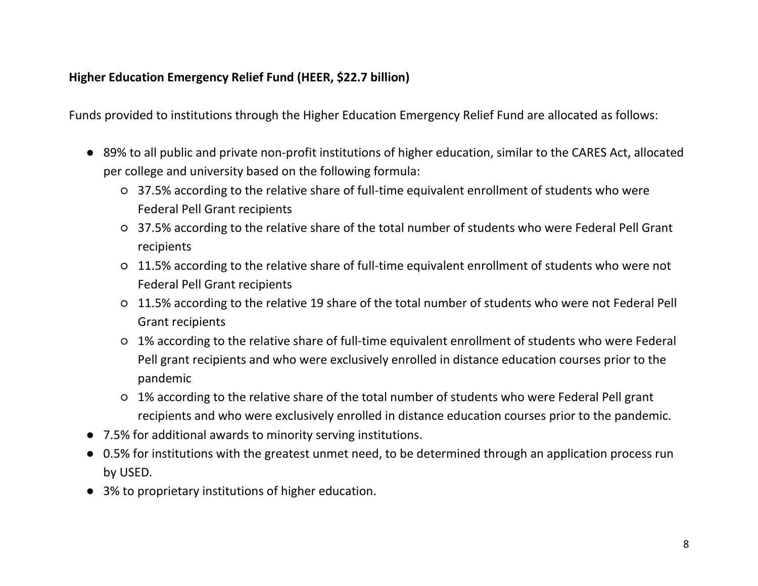### **Higher Education Emergency Relief Fund (HEER, \$22.7 billion)**

Funds provided to institutions through the Higher Education Emergency Relief Fund are allocated as follows:

- 89% to all public and private non-profit institutions of higher education, similar to the CARES Act, allocated per college and university based on the following formula:
	- 37.5% according to the relative share of full-time equivalent enrollment of students who were Federal Pell Grant recipients
	- 37.5% according to the relative share of the total number of students who were Federal Pell Grant recipients
	- 11.5% according to the relative share of full-time equivalent enrollment of students who were not Federal Pell Grant recipients
	- 11.5% according to the relative 19 share of the total number of students who were not Federal Pell Grant recipients
	- 1% according to the relative share of full-time equivalent enrollment of students who were Federal Pell grant recipients and who were exclusively enrolled in distance education courses prior to the pandemic
	- 1% according to the relative share of the total number of students who were Federal Pell grant recipients and who were exclusively enrolled in distance education courses prior to the pandemic.
- 7.5% for additional awards to minority serving institutions.
- 0.5% for institutions with the greatest unmet need, to be determined through an application process run by USED.
- 3% to proprietary institutions of higher education.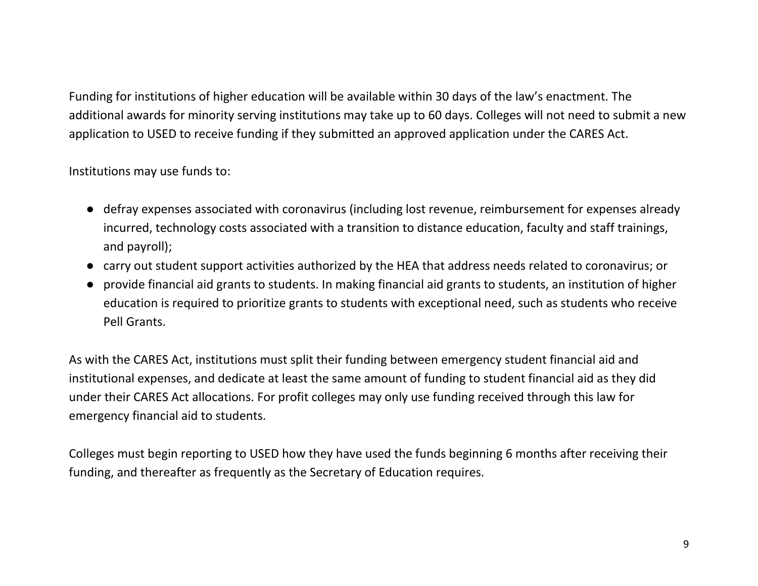Funding for institutions of higher education will be available within 30 days of the law's enactment. The additional awards for minority serving institutions may take up to 60 days. Colleges will not need to submit a new application to USED to receive funding if they submitted an approved application under the CARES Act.

Institutions may use funds to:

- defray expenses associated with coronavirus (including lost revenue, reimbursement for expenses already incurred, technology costs associated with a transition to distance education, faculty and staff trainings, and payroll);
- carry out student support activities authorized by the HEA that address needs related to coronavirus; or
- provide financial aid grants to students. In making financial aid grants to students, an institution of higher education is required to prioritize grants to students with exceptional need, such as students who receive Pell Grants.

As with the CARES Act, institutions must split their funding between emergency student financial aid and institutional expenses, and dedicate at least the same amount of funding to student financial aid as they did under their CARES Act allocations. For profit colleges may only use funding received through this law for emergency financial aid to students.

Colleges must begin reporting to USED how they have used the funds beginning 6 months after receiving their funding, and thereafter as frequently as the Secretary of Education requires.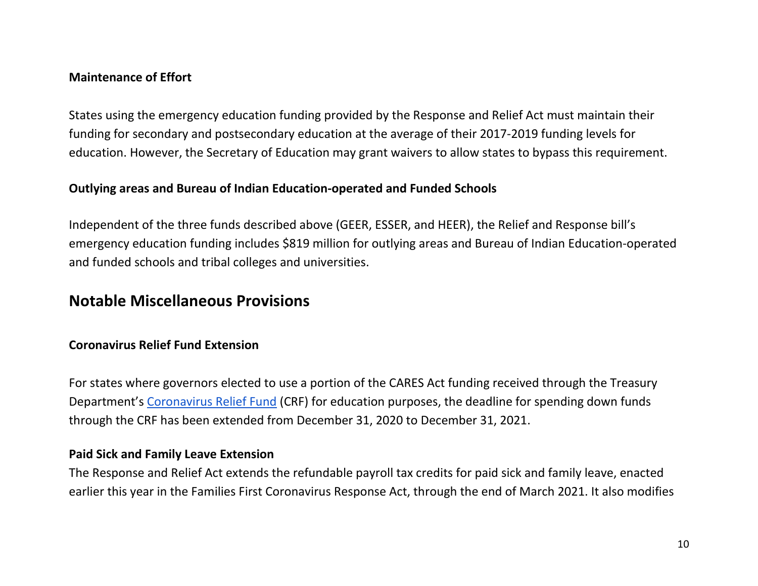#### **Maintenance of Effort**

States using the emergency education funding provided by the Response and Relief Act must maintain their funding for secondary and postsecondary education at the average of their 2017-2019 funding levels for education. However, the Secretary of Education may grant waivers to allow states to bypass this requirement.

#### **Outlying areas and Bureau of Indian Education-operated and Funded Schools**

Independent of the three funds described above (GEER, ESSER, and HEER), the Relief and Response bill's emergency education funding includes \$819 million for outlying areas and Bureau of Indian Education-operated and funded schools and tribal colleges and universities.

# **Notable Miscellaneous Provisions**

### **Coronavirus Relief Fund Extension**

For states where governors elected to use a portion of the CARES Act funding received through the Treasury Department's [Coronavirus Relief Fund](https://home.treasury.gov/policy-issues/cares/state-and-local-governments#:%7E:text=and%20Tribal%20Governments-,The%20CARES%20Act%20Provides%20Assistance%20for%20State%2C%20Local%2C%20and%20Tribal,%24150%20billion%20Coronavirus%20Relief%20Fund.) (CRF) for education purposes, the deadline for spending down funds through the CRF has been extended from December 31, 2020 to December 31, 2021.

#### **Paid Sick and Family Leave Extension**

The Response and Relief Act extends the refundable payroll tax credits for paid sick and family leave, enacted earlier this year in the Families First Coronavirus Response Act, through the end of March 2021. It also modifies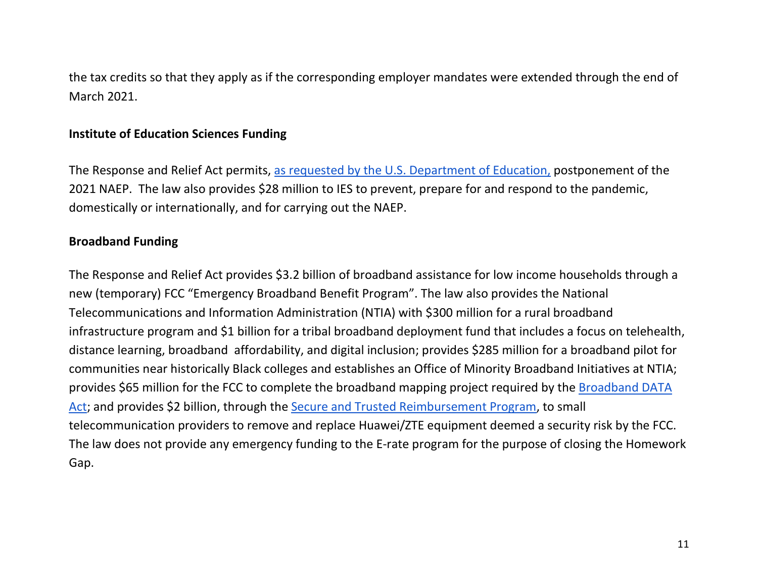the tax credits so that they apply as if the corresponding employer mandates were extended through the end of March 2021.

#### **Institute of Education Sciences Funding**

The Response and Relief Act permits, [as requested by the U.S. Department of Education,](https://nces.ed.gov/whatsnew/commissioner/remarks2020/11_25_2020.asp) postponement of the 2021 NAEP. The law also provides \$28 million to IES to prevent, prepare for and respond to the pandemic, domestically or internationally, and for carrying out the NAEP.

#### **Broadband Funding**

The Response and Relief Act provides \$3.2 billion of broadband assistance for low income households through a new (temporary) FCC "Emergency Broadband Benefit Program". The law also provides the National Telecommunications and Information Administration (NTIA) with \$300 million for a rural broadband infrastructure program and \$1 billion for a tribal broadband deployment fund that includes a focus on telehealth, distance learning, broadband affordability, and digital inclusion; provides \$285 million for a broadband pilot for communities near historically Black colleges and establishes an Office of Minority Broadband Initiatives at NTIA; provides \$65 million for the FCC to complete the broadband mapping project required by the [Broadband DATA](https://www.congress.gov/bill/116th-congress/senate-bill/1822)  [Act;](https://www.congress.gov/bill/116th-congress/senate-bill/1822) and provides \$2 billion, through the [Secure and Trusted Reimbursement Program,](https://www.commerce.senate.gov/2020/2/wicker-statement-on-senate-passage-of-secure-and-trusted-communications-networks-act) to small telecommunication providers to remove and replace Huawei/ZTE equipment deemed a security risk by the FCC. The law does not provide any emergency funding to the E-rate program for the purpose of closing the Homework Gap.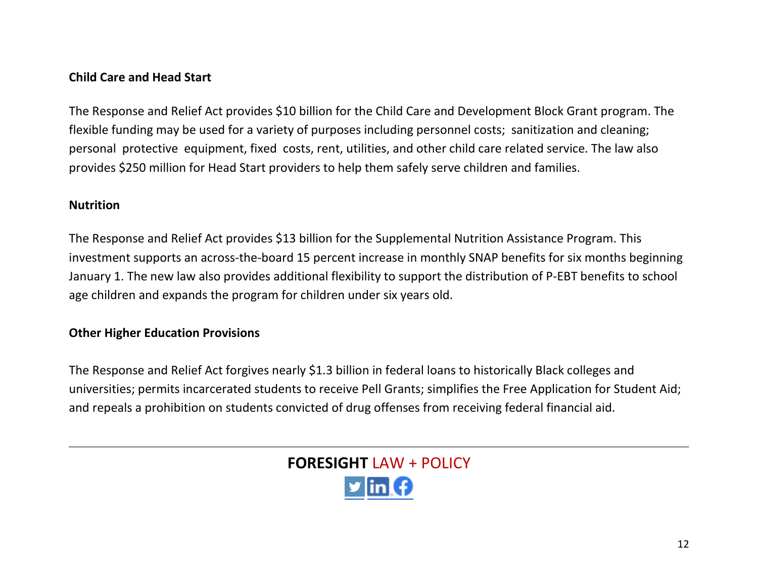### **Child Care and Head Start**

The Response and Relief Act provides \$10 billion for the Child Care and Development Block Grant program. The flexible funding may be used for a variety of purposes including personnel costs; sanitization and cleaning; personal protective equipment, fixed costs, rent, utilities, and other child care related service. The law also provides \$250 million for Head Start providers to help them safely serve children and families.

#### **Nutrition**

The Response and Relief Act provides \$13 billion for the Supplemental Nutrition Assistance Program. This investment supports an across-the-board 15 percent increase in monthly SNAP benefits for six months beginning January 1. The new law also provides additional flexibility to support the distribution of P-EBT benefits to school age children and expands the program for children under six years old.

### **Other Higher Education Provisions**

The Response and Relief Act forgives nearly \$1.3 billion in federal loans to historically Black colleges and universities; permits incarcerated students to receive Pell Grants; simplifies the Free Application for Student Aid; and repeals a prohibition on students convicted of drug offenses from receiving federal financial aid.

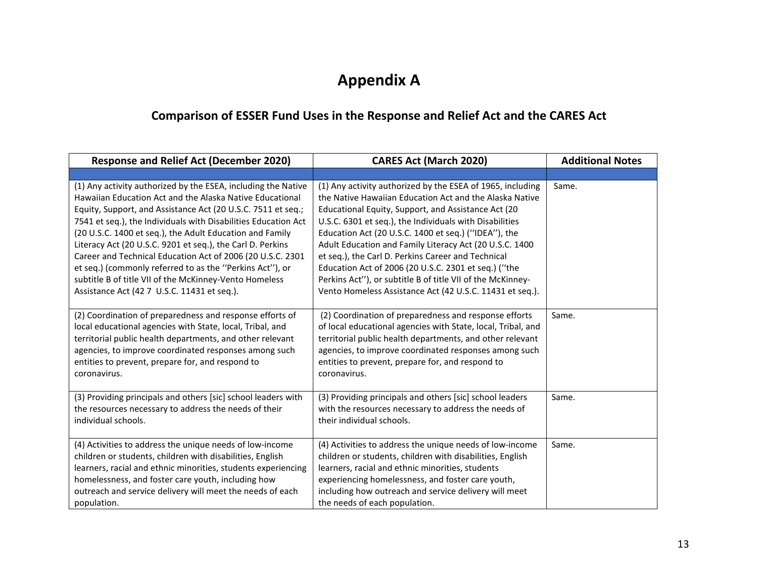# **Appendix A**

# **Comparison of ESSER Fund Uses in the Response and Relief Act and the CARES Act**

| <b>Response and Relief Act (December 2020)</b><br><b>CARES Act (March 2020)</b>                                                                                                                                                                                                                                                                                                                                                                                                                                                                                                                                          |                                                                                                                                                                                                                                                                                                                                                                                                                                                                                                                                                                                                    | <b>Additional Notes</b> |
|--------------------------------------------------------------------------------------------------------------------------------------------------------------------------------------------------------------------------------------------------------------------------------------------------------------------------------------------------------------------------------------------------------------------------------------------------------------------------------------------------------------------------------------------------------------------------------------------------------------------------|----------------------------------------------------------------------------------------------------------------------------------------------------------------------------------------------------------------------------------------------------------------------------------------------------------------------------------------------------------------------------------------------------------------------------------------------------------------------------------------------------------------------------------------------------------------------------------------------------|-------------------------|
|                                                                                                                                                                                                                                                                                                                                                                                                                                                                                                                                                                                                                          |                                                                                                                                                                                                                                                                                                                                                                                                                                                                                                                                                                                                    |                         |
| (1) Any activity authorized by the ESEA, including the Native<br>Hawaiian Education Act and the Alaska Native Educational<br>Equity, Support, and Assistance Act (20 U.S.C. 7511 et seq.;<br>7541 et seq.), the Individuals with Disabilities Education Act<br>(20 U.S.C. 1400 et seq.), the Adult Education and Family<br>Literacy Act (20 U.S.C. 9201 et seq.), the Carl D. Perkins<br>Career and Technical Education Act of 2006 (20 U.S.C. 2301<br>et seq.) (commonly referred to as the "Perkins Act"), or<br>subtitle B of title VII of the McKinney-Vento Homeless<br>Assistance Act (42 7 U.S.C. 11431 et seq.). | (1) Any activity authorized by the ESEA of 1965, including<br>the Native Hawaiian Education Act and the Alaska Native<br>Educational Equity, Support, and Assistance Act (20<br>U.S.C. 6301 et seq.), the Individuals with Disabilities<br>Education Act (20 U.S.C. 1400 et seq.) ("IDEA"), the<br>Adult Education and Family Literacy Act (20 U.S.C. 1400<br>et seq.), the Carl D. Perkins Career and Technical<br>Education Act of 2006 (20 U.S.C. 2301 et seq.) ("the<br>Perkins Act"), or subtitle B of title VII of the McKinney-<br>Vento Homeless Assistance Act (42 U.S.C. 11431 et seq.). | Same.                   |
| (2) Coordination of preparedness and response efforts of<br>local educational agencies with State, local, Tribal, and<br>territorial public health departments, and other relevant<br>agencies, to improve coordinated responses among such<br>entities to prevent, prepare for, and respond to<br>coronavirus.                                                                                                                                                                                                                                                                                                          | (2) Coordination of preparedness and response efforts<br>of local educational agencies with State, local, Tribal, and<br>territorial public health departments, and other relevant<br>agencies, to improve coordinated responses among such<br>entities to prevent, prepare for, and respond to<br>coronavirus.                                                                                                                                                                                                                                                                                    | Same.                   |
| (3) Providing principals and others [sic] school leaders with<br>the resources necessary to address the needs of their<br>individual schools.                                                                                                                                                                                                                                                                                                                                                                                                                                                                            | (3) Providing principals and others [sic] school leaders<br>with the resources necessary to address the needs of<br>their individual schools.                                                                                                                                                                                                                                                                                                                                                                                                                                                      | Same.                   |
| (4) Activities to address the unique needs of low-income<br>children or students, children with disabilities, English<br>learners, racial and ethnic minorities, students experiencing<br>homelessness, and foster care youth, including how<br>outreach and service delivery will meet the needs of each<br>population.                                                                                                                                                                                                                                                                                                 | (4) Activities to address the unique needs of low-income<br>children or students, children with disabilities, English<br>learners, racial and ethnic minorities, students<br>experiencing homelessness, and foster care youth,<br>including how outreach and service delivery will meet<br>the needs of each population.                                                                                                                                                                                                                                                                           | Same.                   |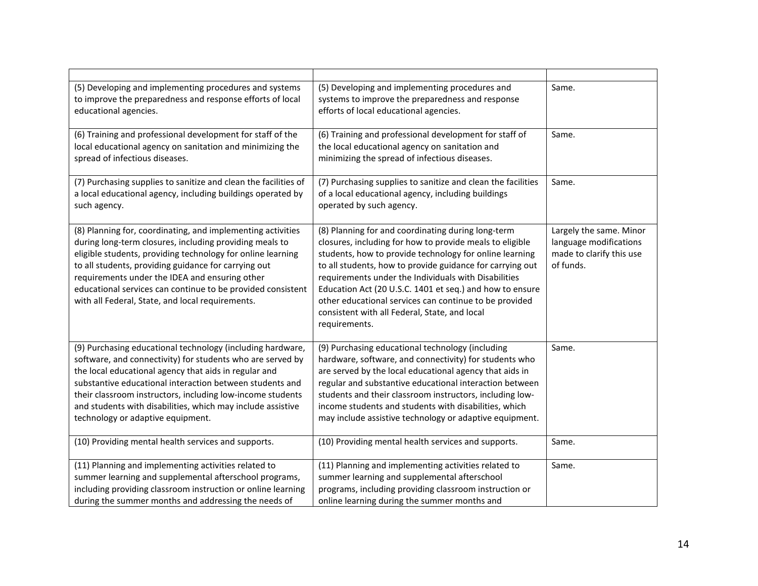| (5) Developing and implementing procedures and systems<br>to improve the preparedness and response efforts of local<br>educational agencies.                                                                                                                                                                                                                                                                       | (5) Developing and implementing procedures and<br>systems to improve the preparedness and response<br>efforts of local educational agencies.                                                                                                                                                                                                                                                                                                                                           |                                                                                            |
|--------------------------------------------------------------------------------------------------------------------------------------------------------------------------------------------------------------------------------------------------------------------------------------------------------------------------------------------------------------------------------------------------------------------|----------------------------------------------------------------------------------------------------------------------------------------------------------------------------------------------------------------------------------------------------------------------------------------------------------------------------------------------------------------------------------------------------------------------------------------------------------------------------------------|--------------------------------------------------------------------------------------------|
| (6) Training and professional development for staff of the<br>local educational agency on sanitation and minimizing the<br>spread of infectious diseases.                                                                                                                                                                                                                                                          | (6) Training and professional development for staff of<br>the local educational agency on sanitation and<br>minimizing the spread of infectious diseases.                                                                                                                                                                                                                                                                                                                              | Same.                                                                                      |
| (7) Purchasing supplies to sanitize and clean the facilities of<br>a local educational agency, including buildings operated by<br>such agency.                                                                                                                                                                                                                                                                     | (7) Purchasing supplies to sanitize and clean the facilities<br>of a local educational agency, including buildings<br>operated by such agency.                                                                                                                                                                                                                                                                                                                                         | Same.                                                                                      |
| (8) Planning for, coordinating, and implementing activities<br>during long-term closures, including providing meals to<br>eligible students, providing technology for online learning<br>to all students, providing guidance for carrying out<br>requirements under the IDEA and ensuring other<br>educational services can continue to be provided consistent<br>with all Federal, State, and local requirements. | (8) Planning for and coordinating during long-term<br>closures, including for how to provide meals to eligible<br>students, how to provide technology for online learning<br>to all students, how to provide guidance for carrying out<br>requirements under the Individuals with Disabilities<br>Education Act (20 U.S.C. 1401 et seq.) and how to ensure<br>other educational services can continue to be provided<br>consistent with all Federal, State, and local<br>requirements. | Largely the same. Minor<br>language modifications<br>made to clarify this use<br>of funds. |
| (9) Purchasing educational technology (including hardware,<br>software, and connectivity) for students who are served by<br>the local educational agency that aids in regular and<br>substantive educational interaction between students and<br>their classroom instructors, including low-income students<br>and students with disabilities, which may include assistive<br>technology or adaptive equipment.    | (9) Purchasing educational technology (including<br>hardware, software, and connectivity) for students who<br>are served by the local educational agency that aids in<br>regular and substantive educational interaction between<br>students and their classroom instructors, including low-<br>income students and students with disabilities, which<br>may include assistive technology or adaptive equipment.                                                                       | Same.                                                                                      |
| (10) Providing mental health services and supports.                                                                                                                                                                                                                                                                                                                                                                | (10) Providing mental health services and supports.                                                                                                                                                                                                                                                                                                                                                                                                                                    | Same.                                                                                      |
| (11) Planning and implementing activities related to<br>summer learning and supplemental afterschool programs,<br>including providing classroom instruction or online learning<br>during the summer months and addressing the needs of                                                                                                                                                                             | (11) Planning and implementing activities related to<br>summer learning and supplemental afterschool<br>programs, including providing classroom instruction or<br>online learning during the summer months and                                                                                                                                                                                                                                                                         | Same.                                                                                      |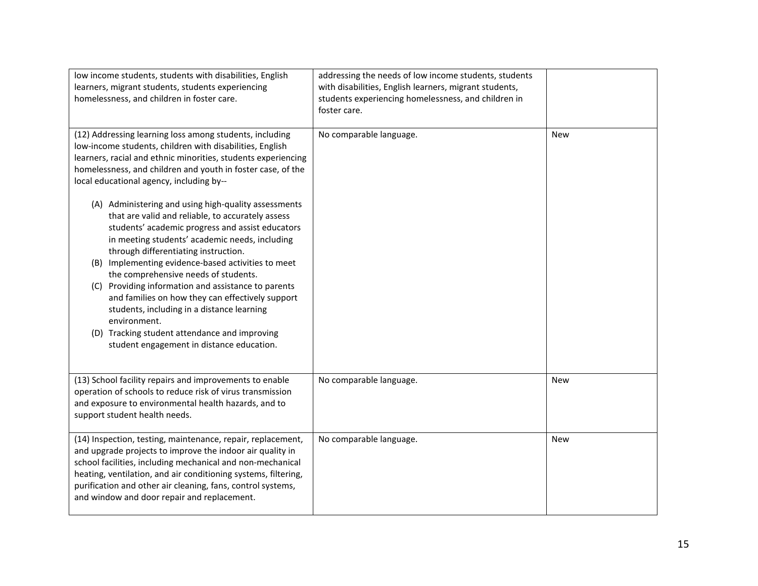| low income students, students with disabilities, English<br>learners, migrant students, students experiencing<br>homelessness, and children in foster care.                                                                                                                                                                                                                                                                                                                                                                                                                                                                  | addressing the needs of low income students, students<br>with disabilities, English learners, migrant students,<br>students experiencing homelessness, and children in<br>foster care. |            |
|------------------------------------------------------------------------------------------------------------------------------------------------------------------------------------------------------------------------------------------------------------------------------------------------------------------------------------------------------------------------------------------------------------------------------------------------------------------------------------------------------------------------------------------------------------------------------------------------------------------------------|----------------------------------------------------------------------------------------------------------------------------------------------------------------------------------------|------------|
| (12) Addressing learning loss among students, including<br>low-income students, children with disabilities, English<br>learners, racial and ethnic minorities, students experiencing<br>homelessness, and children and youth in foster case, of the<br>local educational agency, including by--                                                                                                                                                                                                                                                                                                                              | No comparable language.                                                                                                                                                                | <b>New</b> |
| (A) Administering and using high-quality assessments<br>that are valid and reliable, to accurately assess<br>students' academic progress and assist educators<br>in meeting students' academic needs, including<br>through differentiating instruction.<br>(B) Implementing evidence-based activities to meet<br>the comprehensive needs of students.<br>(C) Providing information and assistance to parents<br>and families on how they can effectively support<br>students, including in a distance learning<br>environment.<br>(D) Tracking student attendance and improving<br>student engagement in distance education. |                                                                                                                                                                                        |            |
| (13) School facility repairs and improvements to enable<br>operation of schools to reduce risk of virus transmission<br>and exposure to environmental health hazards, and to<br>support student health needs.                                                                                                                                                                                                                                                                                                                                                                                                                | No comparable language.                                                                                                                                                                | <b>New</b> |
| (14) Inspection, testing, maintenance, repair, replacement,<br>and upgrade projects to improve the indoor air quality in<br>school facilities, including mechanical and non-mechanical<br>heating, ventilation, and air conditioning systems, filtering,<br>purification and other air cleaning, fans, control systems,<br>and window and door repair and replacement.                                                                                                                                                                                                                                                       | No comparable language.                                                                                                                                                                | <b>New</b> |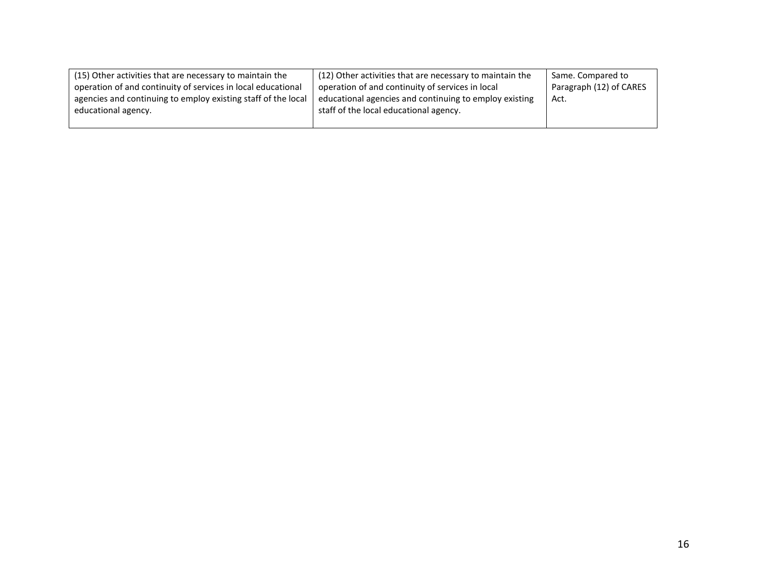| (15) Other activities that are necessary to maintain the<br>operation of and continuity of services in local educational<br>agencies and continuing to employ existing staff of the local<br>educational agency. | (12) Other activities that are necessary to maintain the<br>operation of and continuity of services in local<br>educational agencies and continuing to employ existing<br>staff of the local educational agency. | Same. Compared to<br>Paragraph (12) of CARES<br>Act. |
|------------------------------------------------------------------------------------------------------------------------------------------------------------------------------------------------------------------|------------------------------------------------------------------------------------------------------------------------------------------------------------------------------------------------------------------|------------------------------------------------------|
|------------------------------------------------------------------------------------------------------------------------------------------------------------------------------------------------------------------|------------------------------------------------------------------------------------------------------------------------------------------------------------------------------------------------------------------|------------------------------------------------------|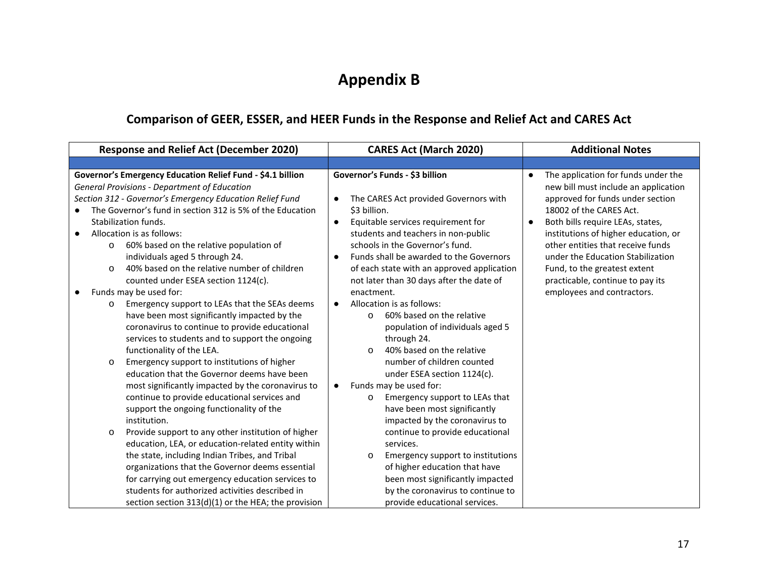# **Appendix B**

## **Comparison of GEER, ESSER, and HEER Funds in the Response and Relief Act and CARES Act**

| <b>Response and Relief Act (December 2020)</b>                                                                                                                                                                                                                                                                                                                                                                                                                                                                       | <b>CARES Act (March 2020)</b>                                                                                                                                                                                                                                                                                                                                                                     | <b>Additional Notes</b>                                                                                                                                                                                                                                                                                                                                                                                                      |
|----------------------------------------------------------------------------------------------------------------------------------------------------------------------------------------------------------------------------------------------------------------------------------------------------------------------------------------------------------------------------------------------------------------------------------------------------------------------------------------------------------------------|---------------------------------------------------------------------------------------------------------------------------------------------------------------------------------------------------------------------------------------------------------------------------------------------------------------------------------------------------------------------------------------------------|------------------------------------------------------------------------------------------------------------------------------------------------------------------------------------------------------------------------------------------------------------------------------------------------------------------------------------------------------------------------------------------------------------------------------|
|                                                                                                                                                                                                                                                                                                                                                                                                                                                                                                                      |                                                                                                                                                                                                                                                                                                                                                                                                   |                                                                                                                                                                                                                                                                                                                                                                                                                              |
| Governor's Emergency Education Relief Fund - \$4.1 billion<br><b>General Provisions - Department of Education</b><br>Section 312 - Governor's Emergency Education Relief Fund<br>The Governor's fund in section 312 is 5% of the Education<br>Stabilization funds.<br>Allocation is as follows:<br>60% based on the relative population of<br>$\circ$<br>individuals aged 5 through 24.<br>40% based on the relative number of children<br>$\Omega$<br>counted under ESEA section 1124(c).<br>Funds may be used for: | Governor's Funds - \$3 billion<br>The CARES Act provided Governors with<br>$\bullet$<br>\$3 billion.<br>Equitable services requirement for<br>$\bullet$<br>students and teachers in non-public<br>schools in the Governor's fund.<br>Funds shall be awarded to the Governors<br>$\bullet$<br>of each state with an approved application<br>not later than 30 days after the date of<br>enactment. | The application for funds under the<br>$\bullet$<br>new bill must include an application<br>approved for funds under section<br>18002 of the CARES Act.<br>Both bills require LEAs, states,<br>$\bullet$<br>institutions of higher education, or<br>other entities that receive funds<br>under the Education Stabilization<br>Fund, to the greatest extent<br>practicable, continue to pay its<br>employees and contractors. |
| Emergency support to LEAs that the SEAs deems<br>O<br>have been most significantly impacted by the<br>coronavirus to continue to provide educational<br>services to students and to support the ongoing<br>functionality of the LEA.<br>Emergency support to institutions of higher<br>$\circ$<br>education that the Governor deems have been                                                                                                                                                                        | Allocation is as follows:<br>60% based on the relative<br>$\Omega$<br>population of individuals aged 5<br>through 24.<br>40% based on the relative<br>$\circ$<br>number of children counted<br>under ESEA section 1124(c).                                                                                                                                                                        |                                                                                                                                                                                                                                                                                                                                                                                                                              |
| most significantly impacted by the coronavirus to<br>continue to provide educational services and<br>support the ongoing functionality of the<br>institution.                                                                                                                                                                                                                                                                                                                                                        | Funds may be used for:<br>$\bullet$<br>Emergency support to LEAs that<br>$\circ$<br>have been most significantly<br>impacted by the coronavirus to                                                                                                                                                                                                                                                |                                                                                                                                                                                                                                                                                                                                                                                                                              |
| Provide support to any other institution of higher<br>O<br>education, LEA, or education-related entity within<br>the state, including Indian Tribes, and Tribal<br>organizations that the Governor deems essential<br>for carrying out emergency education services to<br>students for authorized activities described in<br>section section $313(d)(1)$ or the HEA; the provision                                                                                                                                   | continue to provide educational<br>services.<br>Emergency support to institutions<br>$\circ$<br>of higher education that have<br>been most significantly impacted<br>by the coronavirus to continue to<br>provide educational services.                                                                                                                                                           |                                                                                                                                                                                                                                                                                                                                                                                                                              |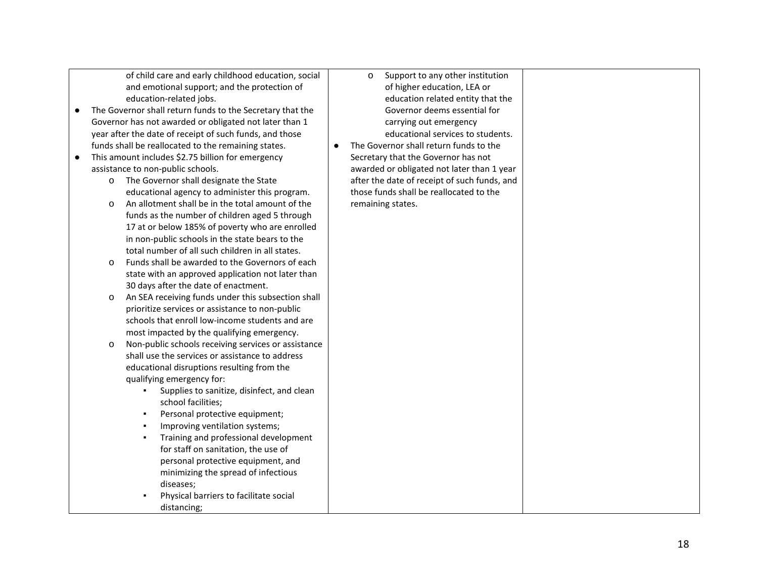of child care and early childhood education, social and emotional support; and the protection of education-related jobs.

- The Governor shall return funds to the Secretary that the Governor has not awarded or obligated not later than 1 year after the date of receipt of such funds, and those funds shall be reallocated to the remaining states.
- This amount includes \$2.75 billion for emergency assistance to non-public schools.
	- o The Governor shall designate the State educational agency to administer this program.
	- o An allotment shall be in the total amount of the funds as the number of children aged 5 through 17 at or below 185% of poverty who are enrolled in non-public schools in the state bears to the total number of all such children in all states.
	- o Funds shall be awarded to the Governors of each state with an approved application not later than 30 days after the date of enactment.
	- o An SEA receiving funds under this subsection shall prioritize services or assistance to non-public schools that enroll low-income students and are most impacted by the qualifying emergency.
	- o Non-public schools receiving services or assistance shall use the services or assistance to address educational disruptions resulting from the qualifying emergency for:
		- Supplies to sanitize, disinfect, and clean school facilities;
		- Personal protective equipment;
		- Improving ventilation systems;
		- Training and professional development for staff on sanitation, the use of personal protective equipment, and minimizing the spread of infectious diseases;
		- Physical barriers to facilitate social distancing;
- o Support to any other institution of higher education, LEA or education related entity that the Governor deems essential for carrying out emergency educational services to students.
- The Governor shall return funds to the Secretary that the Governor has not awarded or obligated not later than 1 year after the date of receipt of such funds, and those funds shall be reallocated to the remaining states.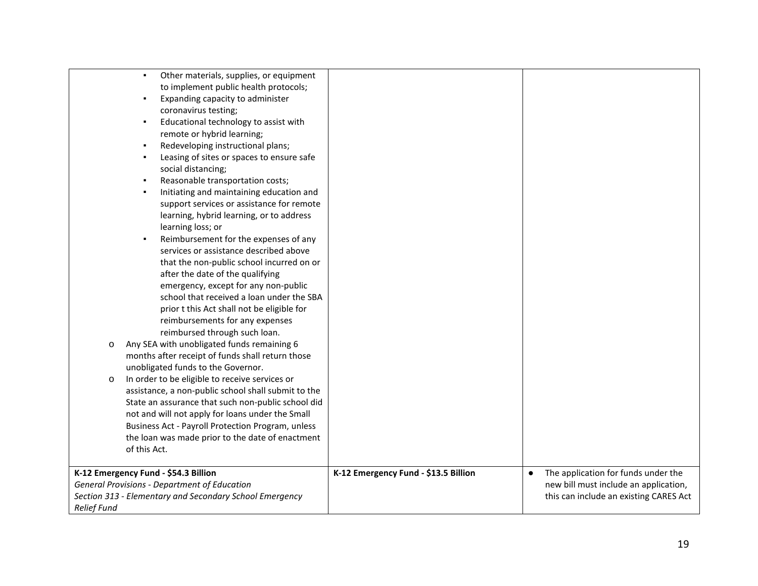| Other materials, supplies, or equipment<br>$\blacksquare$                                                      |                                      |                                                                                 |
|----------------------------------------------------------------------------------------------------------------|--------------------------------------|---------------------------------------------------------------------------------|
| to implement public health protocols;                                                                          |                                      |                                                                                 |
| Expanding capacity to administer<br>٠                                                                          |                                      |                                                                                 |
| coronavirus testing;                                                                                           |                                      |                                                                                 |
| Educational technology to assist with<br>٠                                                                     |                                      |                                                                                 |
| remote or hybrid learning;                                                                                     |                                      |                                                                                 |
| Redeveloping instructional plans;                                                                              |                                      |                                                                                 |
| Leasing of sites or spaces to ensure safe                                                                      |                                      |                                                                                 |
| social distancing;                                                                                             |                                      |                                                                                 |
| Reasonable transportation costs;                                                                               |                                      |                                                                                 |
| Initiating and maintaining education and                                                                       |                                      |                                                                                 |
| support services or assistance for remote                                                                      |                                      |                                                                                 |
| learning, hybrid learning, or to address                                                                       |                                      |                                                                                 |
| learning loss; or                                                                                              |                                      |                                                                                 |
| Reimbursement for the expenses of any                                                                          |                                      |                                                                                 |
| services or assistance described above                                                                         |                                      |                                                                                 |
| that the non-public school incurred on or                                                                      |                                      |                                                                                 |
| after the date of the qualifying                                                                               |                                      |                                                                                 |
| emergency, except for any non-public                                                                           |                                      |                                                                                 |
| school that received a loan under the SBA                                                                      |                                      |                                                                                 |
| prior t this Act shall not be eligible for                                                                     |                                      |                                                                                 |
| reimbursements for any expenses                                                                                |                                      |                                                                                 |
| reimbursed through such loan.                                                                                  |                                      |                                                                                 |
| Any SEA with unobligated funds remaining 6<br>$\circ$                                                          |                                      |                                                                                 |
| months after receipt of funds shall return those                                                               |                                      |                                                                                 |
| unobligated funds to the Governor.                                                                             |                                      |                                                                                 |
| In order to be eligible to receive services or<br>$\circ$                                                      |                                      |                                                                                 |
| assistance, a non-public school shall submit to the                                                            |                                      |                                                                                 |
| State an assurance that such non-public school did                                                             |                                      |                                                                                 |
| not and will not apply for loans under the Small                                                               |                                      |                                                                                 |
| Business Act - Payroll Protection Program, unless                                                              |                                      |                                                                                 |
| the loan was made prior to the date of enactment                                                               |                                      |                                                                                 |
| of this Act.                                                                                                   |                                      |                                                                                 |
|                                                                                                                |                                      |                                                                                 |
|                                                                                                                |                                      |                                                                                 |
|                                                                                                                |                                      | $\bullet$                                                                       |
| K-12 Emergency Fund - \$54.3 Billion                                                                           | K-12 Emergency Fund - \$13.5 Billion | The application for funds under the                                             |
| <b>General Provisions - Department of Education</b><br>Section 313 - Elementary and Secondary School Emergency |                                      | new bill must include an application,<br>this can include an existing CARES Act |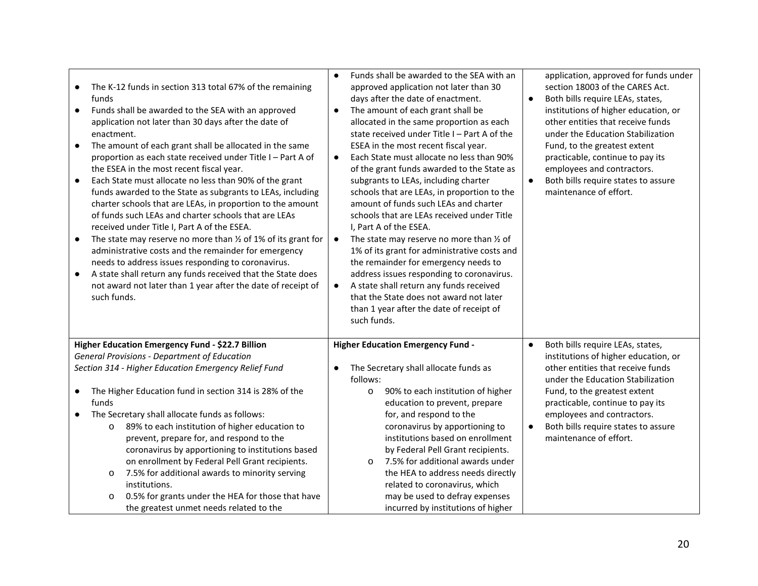| $\bullet$<br>$\bullet$<br>$\bullet$<br>$\bullet$<br>$\bullet$<br>$\bullet$ | The K-12 funds in section 313 total 67% of the remaining<br>funds<br>Funds shall be awarded to the SEA with an approved<br>application not later than 30 days after the date of<br>enactment.<br>The amount of each grant shall be allocated in the same<br>proportion as each state received under Title I - Part A of<br>the ESEA in the most recent fiscal year.<br>Each State must allocate no less than 90% of the grant<br>funds awarded to the State as subgrants to LEAs, including<br>charter schools that are LEAs, in proportion to the amount<br>of funds such LEAs and charter schools that are LEAs<br>received under Title I, Part A of the ESEA.<br>The state may reserve no more than $\frac{1}{2}$ of 1% of its grant for<br>administrative costs and the remainder for emergency<br>needs to address issues responding to coronavirus.<br>A state shall return any funds received that the State does<br>not award not later than 1 year after the date of receipt of<br>such funds. | Funds shall be awarded to the SEA with an<br>$\bullet$<br>approved application not later than 30<br>days after the date of enactment.<br>$\bullet$<br>The amount of each grant shall be<br>$\bullet$<br>allocated in the same proportion as each<br>state received under Title I - Part A of the<br>ESEA in the most recent fiscal year.<br>Each State must allocate no less than 90%<br>$\bullet$<br>of the grant funds awarded to the State as<br>subgrants to LEAs, including charter<br>$\bullet$<br>schools that are LEAs, in proportion to the<br>amount of funds such LEAs and charter<br>schools that are LEAs received under Title<br>I, Part A of the ESEA.<br>The state may reserve no more than 1/2 of<br>$\bullet$<br>1% of its grant for administrative costs and<br>the remainder for emergency needs to<br>address issues responding to coronavirus.<br>A state shall return any funds received<br>$\bullet$<br>that the State does not award not later<br>than 1 year after the date of receipt of<br>such funds. | application, approved for funds under<br>section 18003 of the CARES Act.<br>Both bills require LEAs, states,<br>institutions of higher education, or<br>other entities that receive funds<br>under the Education Stabilization<br>Fund, to the greatest extent<br>practicable, continue to pay its<br>employees and contractors.<br>Both bills require states to assure<br>maintenance of effort. |
|----------------------------------------------------------------------------|---------------------------------------------------------------------------------------------------------------------------------------------------------------------------------------------------------------------------------------------------------------------------------------------------------------------------------------------------------------------------------------------------------------------------------------------------------------------------------------------------------------------------------------------------------------------------------------------------------------------------------------------------------------------------------------------------------------------------------------------------------------------------------------------------------------------------------------------------------------------------------------------------------------------------------------------------------------------------------------------------------|------------------------------------------------------------------------------------------------------------------------------------------------------------------------------------------------------------------------------------------------------------------------------------------------------------------------------------------------------------------------------------------------------------------------------------------------------------------------------------------------------------------------------------------------------------------------------------------------------------------------------------------------------------------------------------------------------------------------------------------------------------------------------------------------------------------------------------------------------------------------------------------------------------------------------------------------------------------------------------------------------------------------------------|---------------------------------------------------------------------------------------------------------------------------------------------------------------------------------------------------------------------------------------------------------------------------------------------------------------------------------------------------------------------------------------------------|
|                                                                            | Higher Education Emergency Fund - \$22.7 Billion<br><b>General Provisions - Department of Education</b>                                                                                                                                                                                                                                                                                                                                                                                                                                                                                                                                                                                                                                                                                                                                                                                                                                                                                                 | <b>Higher Education Emergency Fund -</b><br>$\bullet$                                                                                                                                                                                                                                                                                                                                                                                                                                                                                                                                                                                                                                                                                                                                                                                                                                                                                                                                                                              | Both bills require LEAs, states,<br>institutions of higher education, or                                                                                                                                                                                                                                                                                                                          |
|                                                                            | Section 314 - Higher Education Emergency Relief Fund                                                                                                                                                                                                                                                                                                                                                                                                                                                                                                                                                                                                                                                                                                                                                                                                                                                                                                                                                    | The Secretary shall allocate funds as<br>$\bullet$                                                                                                                                                                                                                                                                                                                                                                                                                                                                                                                                                                                                                                                                                                                                                                                                                                                                                                                                                                                 | other entities that receive funds                                                                                                                                                                                                                                                                                                                                                                 |
|                                                                            |                                                                                                                                                                                                                                                                                                                                                                                                                                                                                                                                                                                                                                                                                                                                                                                                                                                                                                                                                                                                         | follows:                                                                                                                                                                                                                                                                                                                                                                                                                                                                                                                                                                                                                                                                                                                                                                                                                                                                                                                                                                                                                           | under the Education Stabilization                                                                                                                                                                                                                                                                                                                                                                 |
| $\bullet$                                                                  | The Higher Education fund in section 314 is 28% of the<br>funds                                                                                                                                                                                                                                                                                                                                                                                                                                                                                                                                                                                                                                                                                                                                                                                                                                                                                                                                         | 90% to each institution of higher<br>$\circ$<br>education to prevent, prepare                                                                                                                                                                                                                                                                                                                                                                                                                                                                                                                                                                                                                                                                                                                                                                                                                                                                                                                                                      | Fund, to the greatest extent<br>practicable, continue to pay its                                                                                                                                                                                                                                                                                                                                  |
|                                                                            | The Secretary shall allocate funds as follows:                                                                                                                                                                                                                                                                                                                                                                                                                                                                                                                                                                                                                                                                                                                                                                                                                                                                                                                                                          | for, and respond to the                                                                                                                                                                                                                                                                                                                                                                                                                                                                                                                                                                                                                                                                                                                                                                                                                                                                                                                                                                                                            | employees and contractors.                                                                                                                                                                                                                                                                                                                                                                        |
|                                                                            | 89% to each institution of higher education to<br>$\circ$                                                                                                                                                                                                                                                                                                                                                                                                                                                                                                                                                                                                                                                                                                                                                                                                                                                                                                                                               | coronavirus by apportioning to<br>$\bullet$                                                                                                                                                                                                                                                                                                                                                                                                                                                                                                                                                                                                                                                                                                                                                                                                                                                                                                                                                                                        | Both bills require states to assure                                                                                                                                                                                                                                                                                                                                                               |
|                                                                            | prevent, prepare for, and respond to the                                                                                                                                                                                                                                                                                                                                                                                                                                                                                                                                                                                                                                                                                                                                                                                                                                                                                                                                                                | institutions based on enrollment                                                                                                                                                                                                                                                                                                                                                                                                                                                                                                                                                                                                                                                                                                                                                                                                                                                                                                                                                                                                   | maintenance of effort.                                                                                                                                                                                                                                                                                                                                                                            |
|                                                                            | coronavirus by apportioning to institutions based<br>on enrollment by Federal Pell Grant recipients.                                                                                                                                                                                                                                                                                                                                                                                                                                                                                                                                                                                                                                                                                                                                                                                                                                                                                                    | by Federal Pell Grant recipients.<br>7.5% for additional awards under<br>$\circ$                                                                                                                                                                                                                                                                                                                                                                                                                                                                                                                                                                                                                                                                                                                                                                                                                                                                                                                                                   |                                                                                                                                                                                                                                                                                                                                                                                                   |
|                                                                            | 7.5% for additional awards to minority serving<br>$\circ$                                                                                                                                                                                                                                                                                                                                                                                                                                                                                                                                                                                                                                                                                                                                                                                                                                                                                                                                               | the HEA to address needs directly                                                                                                                                                                                                                                                                                                                                                                                                                                                                                                                                                                                                                                                                                                                                                                                                                                                                                                                                                                                                  |                                                                                                                                                                                                                                                                                                                                                                                                   |
|                                                                            | institutions.                                                                                                                                                                                                                                                                                                                                                                                                                                                                                                                                                                                                                                                                                                                                                                                                                                                                                                                                                                                           | related to coronavirus, which                                                                                                                                                                                                                                                                                                                                                                                                                                                                                                                                                                                                                                                                                                                                                                                                                                                                                                                                                                                                      |                                                                                                                                                                                                                                                                                                                                                                                                   |
|                                                                            | 0.5% for grants under the HEA for those that have<br>$\circ$                                                                                                                                                                                                                                                                                                                                                                                                                                                                                                                                                                                                                                                                                                                                                                                                                                                                                                                                            | may be used to defray expenses                                                                                                                                                                                                                                                                                                                                                                                                                                                                                                                                                                                                                                                                                                                                                                                                                                                                                                                                                                                                     |                                                                                                                                                                                                                                                                                                                                                                                                   |
|                                                                            | the greatest unmet needs related to the                                                                                                                                                                                                                                                                                                                                                                                                                                                                                                                                                                                                                                                                                                                                                                                                                                                                                                                                                                 | incurred by institutions of higher                                                                                                                                                                                                                                                                                                                                                                                                                                                                                                                                                                                                                                                                                                                                                                                                                                                                                                                                                                                                 |                                                                                                                                                                                                                                                                                                                                                                                                   |